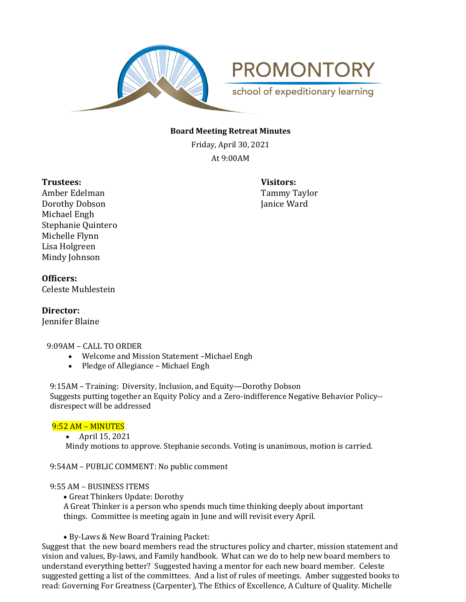

**PROMONTORY** school of expeditionary learning

### **Board Meeting Retreat Minutes**

Friday, April 30, 2021 At 9:00AM

**Trustees: Visitors:**

Amber Edelman Tammy Taylor Dorothy Dobson Janice Ward Michael Engh Stephanie Quintero Michelle Flynn Lisa Holgreen Mindy Johnson

### **Officers:** Celeste Muhlestein

**Director:**  Jennifer Blaine

### 9:09AM – CALL TO ORDER

- Welcome and Mission Statement –Michael Engh
- Pledge of Allegiance Michael Engh

9:15AM – Training: Diversity, Inclusion, and Equity—Dorothy Dobson Suggests putting together an Equity Policy and a Zero-indifference Negative Behavior Policy- disrespect will be addressed

#### 9:52 AM – MINUTES

• April 15, 2021 Mindy motions to approve. Stephanie seconds. Voting is unanimous, motion is carried.

9:54AM – PUBLIC COMMENT: No public comment

9:55 AM – BUSINESS ITEMS

• Great Thinkers Update: Dorothy

A Great Thinker is a person who spends much time thinking deeply about important things. Committee is meeting again in June and will revisit every April.

• By-Laws & New Board Training Packet:

Suggest that the new board members read the structures policy and charter, mission statement and vision and values, By-laws, and Family handbook. What can we do to help new board members to understand everything better? Suggested having a mentor for each new board member. Celeste suggested getting a list of the committees. And a list of rules of meetings. Amber suggested books to read: Governing For Greatness (Carpenter), The Ethics of Excellence, A Culture of Quality. Michelle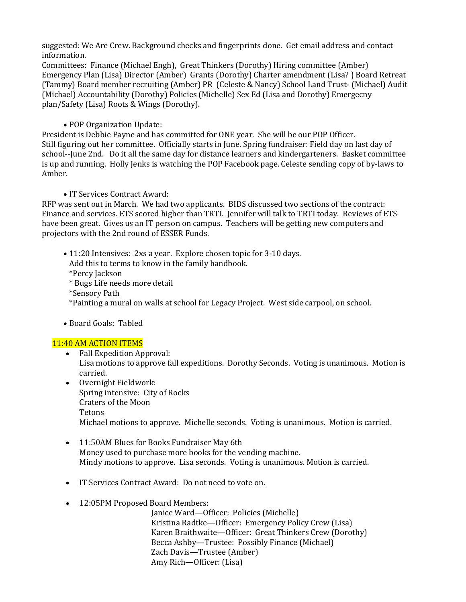suggested: We Are Crew. Background checks and fingerprints done. Get email address and contact information.

Committees: Finance (Michael Engh), Great Thinkers (Dorothy) Hiring committee (Amber) Emergency Plan (Lisa) Director (Amber) Grants (Dorothy) Charter amendment (Lisa? ) Board Retreat (Tammy) Board member recruiting (Amber) PR (Celeste & Nancy) School Land Trust- (Michael) Audit (Michael) Accountability (Dorothy) Policies (Michelle) Sex Ed (Lisa and Dorothy) Emergecny plan/Safety (Lisa) Roots & Wings (Dorothy).

## • POP Organization Update:

President is Debbie Payne and has committed for ONE year. She will be our POP Officer. Still figuring out her committee. Officially starts in June. Spring fundraiser: Field day on last day of school--June 2nd. Do it all the same day for distance learners and kindergarteners. Basket committee is up and running. Holly Jenks is watching the POP Facebook page. Celeste sending copy of by-laws to Amber.

## • IT Services Contract Award:

RFP was sent out in March. We had two applicants. BIDS discussed two sections of the contract: Finance and services. ETS scored higher than TRTI. Jennifer will talk to TRTI today. Reviews of ETS have been great. Gives us an IT person on campus. Teachers will be getting new computers and projectors with the 2nd round of ESSER Funds.

- 11:20 Intensives: 2xs a year. Explore chosen topic for 3-10 days. Add this to terms to know in the family handbook. \*Percy Jackson \* Bugs Life needs more detail \*Sensory Path \*Painting a mural on walls at school for Legacy Project. West side carpool, on school.
- Board Goals: Tabled

# 11:40 AM ACTION ITEMS

- Fall Expedition Approval: Lisa motions to approve fall expeditions. Dorothy Seconds. Voting is unanimous. Motion is carried.
- Overnight Fieldwork: Spring intensive: City of Rocks Craters of the Moon Tetons Michael motions to approve. Michelle seconds. Voting is unanimous. Motion is carried.
- 11:50AM Blues for Books Fundraiser May 6th Money used to purchase more books for the vending machine. Mindy motions to approve. Lisa seconds. Voting is unanimous. Motion is carried.
- IT Services Contract Award: Do not need to vote on.
- 12:05PM Proposed Board Members:

Janice Ward—Officer: Policies (Michelle) Kristina Radtke—Officer: Emergency Policy Crew (Lisa) Karen Braithwaite—Officer: Great Thinkers Crew (Dorothy) Becca Ashby—Trustee: Possibly Finance (Michael) Zach Davis—Trustee (Amber) Amy Rich—Officer: (Lisa)